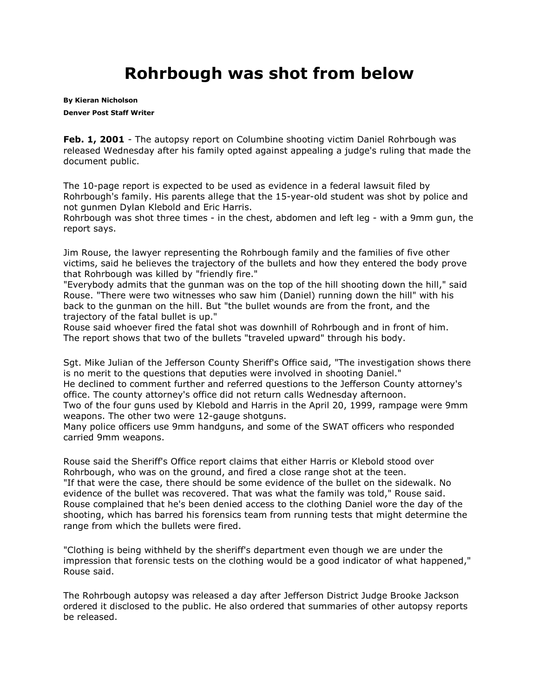## **Rohrbough was shot from below**

**By [Kieran Nicholson](mailto:knicholson@denverpost.com) Denver Post Staff Writer**

**Feb. 1, 2001** - The autopsy report on Columbine shooting victim Daniel Rohrbough was released Wednesday after his family opted against appealing a judge's ruling that made the document public.

The 10-page report is expected to be used as evidence in a federal lawsuit filed by Rohrbough's family. His parents allege that the 15-year-old student was shot by police and not gunmen Dylan Klebold and Eric Harris.

Rohrbough was shot three times - in the chest, abdomen and left leg - with a 9mm gun, the report says.

Jim Rouse, the lawyer representing the Rohrbough family and the families of five other victims, said he believes the trajectory of the bullets and how they entered the body prove that Rohrbough was killed by "friendly fire."

"Everybody admits that the gunman was on the top of the hill shooting down the hill," said Rouse. "There were two witnesses who saw him (Daniel) running down the hill" with his back to the gunman on the hill. But "the bullet wounds are from the front, and the trajectory of the fatal bullet is up."

Rouse said whoever fired the fatal shot was downhill of Rohrbough and in front of him. The report shows that two of the bullets "traveled upward" through his body.

Sgt. Mike Julian of the Jefferson County Sheriff's Office said, "The investigation shows there is no merit to the questions that deputies were involved in shooting Daniel." He declined to comment further and referred questions to the Jefferson County attorney's office. The county attorney's office did not return calls Wednesday afternoon.

Two of the four guns used by Klebold and Harris in the April 20, 1999, rampage were 9mm weapons. The other two were 12-gauge shotguns.

Many police officers use 9mm handguns, and some of the SWAT officers who responded carried 9mm weapons.

Rouse said the Sheriff's Office report claims that either Harris or Klebold stood over Rohrbough, who was on the ground, and fired a close range shot at the teen. "If that were the case, there should be some evidence of the bullet on the sidewalk. No evidence of the bullet was recovered. That was what the family was told," Rouse said. Rouse complained that he's been denied access to the clothing Daniel wore the day of the shooting, which has barred his forensics team from running tests that might determine the range from which the bullets were fired.

"Clothing is being withheld by the sheriff's department even though we are under the impression that forensic tests on the clothing would be a good indicator of what happened," Rouse said.

The Rohrbough autopsy was released a day after Jefferson District Judge Brooke Jackson ordered it disclosed to the public. He also ordered that summaries of other autopsy reports be released.